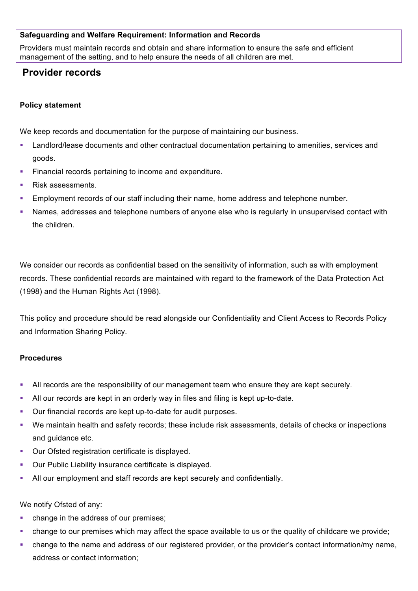# **Safeguarding and Welfare Requirement: Information and Records**

Providers must maintain records and obtain and share information to ensure the safe and efficient management of the setting, and to help ensure the needs of all children are met.

# **Provider records**

# **Policy statement**

We keep records and documentation for the purpose of maintaining our business.

- Landlord/lease documents and other contractual documentation pertaining to amenities, services and goods.
- Financial records pertaining to income and expenditure.
- § Risk assessments.
- **Employment records of our staff including their name, home address and telephone number.**
- § Names, addresses and telephone numbers of anyone else who is regularly in unsupervised contact with the children.

We consider our records as confidential based on the sensitivity of information, such as with employment records. These confidential records are maintained with regard to the framework of the Data Protection Act (1998) and the Human Rights Act (1998).

This policy and procedure should be read alongside our Confidentiality and Client Access to Records Policy and Information Sharing Policy.

#### **Procedures**

- All records are the responsibility of our management team who ensure they are kept securely.
- All our records are kept in an orderly way in files and filing is kept up-to-date.
- Our financial records are kept up-to-date for audit purposes.
- § We maintain health and safety records; these include risk assessments, details of checks or inspections and guidance etc.
- Our Ofsted registration certificate is displayed.
- § Our Public Liability insurance certificate is displayed.
- All our employment and staff records are kept securely and confidentially.

We notify Ofsted of any:

- § change in the address of our premises;
- § change to our premises which may affect the space available to us or the quality of childcare we provide;
- change to the name and address of our registered provider, or the provider's contact information/my name, address or contact information;